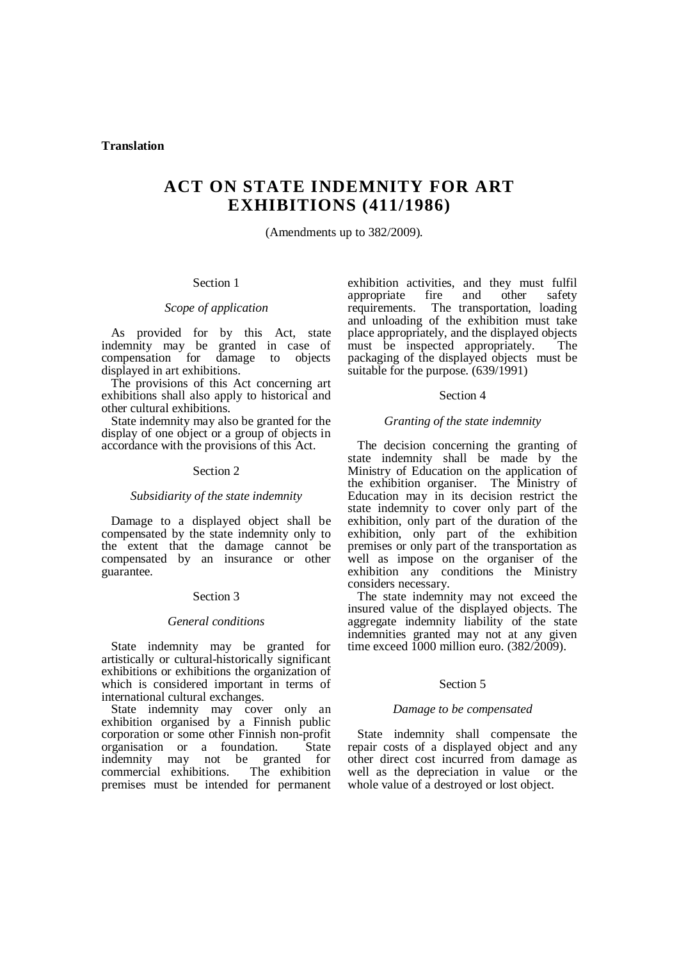# **ACT ON STATE INDEMNITY FOR ART EXHIBITIONS (411/1986)**

(Amendments up to 382/2009).

# Section 1

# *Scope of application*

As provided for by this Act, state indemnity may be granted in case of compensation for damage to objects displayed in art exhibitions.

The provisions of this Act concerning art exhibitions shall also apply to historical and other cultural exhibitions.

State indemnity may also be granted for the display of one object or a group of objects in accordance with the provisions of this Act.

#### Section 2

## *Subsidiarity of the state indemnity*

Damage to a displayed object shall be compensated by the state indemnity only to the extent that the damage cannot be compensated by an insurance or other guarantee.

# Section 3

# *General conditions*

State indemnity may be granted for artistically or cultural-historically significant exhibitions or exhibitions the organization of which is considered important in terms of international cultural exchanges.

State indemnity may cover only an exhibition organised by a Finnish public corporation or some other Finnish non-profit organisation or a foundation. State indemnity may not be granted for<br>commercial exhibitions. The exhibition commercial exhibitions. premises must be intended for permanent exhibition activities, and they must fulfil appropriate fire and other safety requirements. The transportation, loading and unloading of the exhibition must take place appropriately, and the displayed objects must be inspected appropriately. The packaging of the displayed objects must be suitable for the purpose. (639/1991)

#### Section 4

# *Granting of the state indemnity*

The decision concerning the granting of state indemnity shall be made by the Ministry of Education on the application of the exhibition organiser. The Ministry of Education may in its decision restrict the state indemnity to cover only part of the exhibition, only part of the duration of the exhibition, only part of the exhibition premises or only part of the transportation as well as impose on the organiser of the exhibition any conditions the Ministry considers necessary.

The state indemnity may not exceed the insured value of the displayed objects. The aggregate indemnity liability of the state indemnities granted may not at any given time exceed  $1000$  million euro.  $(382/2009)$ .

## Section 5

#### *Damage to be compensated*

State indemnity shall compensate the repair costs of a displayed object and any other direct cost incurred from damage as well as the depreciation in value or the whole value of a destroyed or lost object.